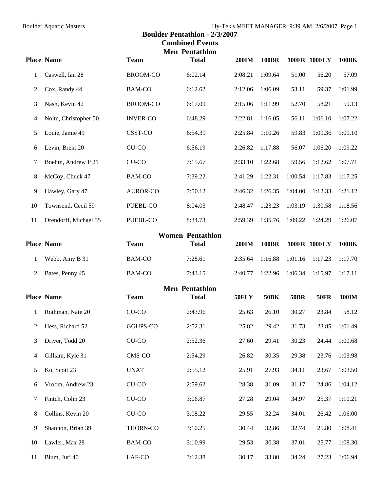## Boulder Aquatic Masters Hy-Tek's MEET MANAGER 9:39 AM 2/6/2007 Page 1 **Boulder Pentathlon - 2/3/2007 Combined Events Men Pentathlon Place Name Team Total 200IM 100BR 100FR 100FLY 100BK**  1 Caswell, Ian 28 BROOM-CO 6:02.14 2:08.21 1:09.64 51.00 56.20 57.09 2 Cox, Randy 44 BAM-CO 6:12.62 2:12.06 1:06.09 53.11 59.37 1:01.99 3 Nash, Kevin 42 BROOM-CO 6:17.09 2:15.06 1:11.99 52.70 58.21 59.13 4 Nolte, Christopher 50 INVER-CO 6:48.29 2:22.81 1:16.05 56.11 1:06.10 1:07.22 5 Louie, Jamie 49 CSST-CO 6:54.39 2:25.84 1:10.26 59.83 1:09.36 1:09.10 6 Levin, Brent 20 CU-CO 6:56.19 2:26.82 1:17.88 56.07 1:06.20 1:09.22 7 Boehm, Andrew P 21 CU-CO 7:15.67 2:33.10 1:22.68 59.56 1:12.62 1:07.71 8 McCoy, Chuck 47 BAM-CO 7:39.22 2:41.29 1:22.31 1:00.54 1:17.83 1:17.25 9 Hawley, Gary 47 AUROR-CO 7:50.12 2:46.32 1:26.35 1:04.00 1:12.33 1:21.12 10 Townsend, Cecil 59 PUEBL-CO 8:04.03 2:48.47 1:23.23 1:03.19 1:30.58 1:18.56 11 Orendorff, Michael 55 PUEBL-CO 8:34.73 2:59.39 1:35.76 1:09.22 1:24.29 1:26.07 **Women Pentathlon Place Name Team Total 200IM 100BR 100FR 100FLY 100BK**

| <b>Place Name</b> | Team   | Total   | 200IM             | 100BR | 100FR 100FLY        |        | 100BK   |
|-------------------|--------|---------|-------------------|-------|---------------------|--------|---------|
| Webb, Amy B 31    | BAM-CO | 7:28.61 | $2:35.64$ 1:16.88 |       | $1:01.16$ $1:17.23$ |        | 1:17.70 |
| 2 Bates, Penny 45 | BAM-CO | 7:43.15 | $2:40.77$ 1:22.96 |       | 1:06.34             | 1.1597 | 1:17.11 |

|    | <b>Place Name</b> | <b>Team</b>   | <b>Men Pentathlon</b><br><b>Total</b> | <b>50FLY</b> | <b>50BK</b> | <b>50BR</b> | <b>50FR</b> | <b>100IM</b> |
|----|-------------------|---------------|---------------------------------------|--------------|-------------|-------------|-------------|--------------|
|    |                   |               |                                       |              |             |             |             |              |
| 1  | Rothman, Nate 20  | CU-CO         | 2:43.96                               | 25.63        | 26.10       | 30.27       | 23.84       | 58.12        |
| 2  | Hess, Richard 52  | GGUPS-CO      | 2:52.31                               | 25.82        | 29.42       | 31.73       | 23.85       | 1:01.49      |
| 3  | Driver, Todd 20   | CU-CO         | 2:52.36                               | 27.60        | 29.41       | 30.23       | 24.44       | 1:00.68      |
| 4  | Gilliam, Kyle 31  | CMS-CO        | 2:54.29                               | 26.82        | 30.35       | 29.38       | 23.76       | 1:03.98      |
| 5  | Ko, Scott 23      | <b>UNAT</b>   | 2:55.12                               | 25.91        | 27.93       | 34.11       | 23.67       | 1:03.50      |
| 6  | Vroom, Andrew 23  | $CU$ - $CO$   | 2:59.62                               | 28.38        | 31.09       | 31.17       | 24.86       | 1:04.12      |
| 7  | Fintch, Colin 23  | CU-CO         | 3:06.87                               | 27.28        | 29.04       | 34.97       | 25.37       | 1:10.21      |
| 8  | Collins, Kevin 20 | CU-CO         | 3:08.22                               | 29.55        | 32.24       | 34.01       | 26.42       | 1:06.00      |
| 9  | Shannon, Brian 39 | THORN-CO      | 3:10.25                               | 30.44        | 32.86       | 32.74       | 25.80       | 1:08.41      |
| 10 | Lawler, Max 28    | <b>BAM-CO</b> | 3:10.99                               | 29.53        | 30.38       | 37.01       | 25.77       | 1:08.30      |
| 11 | Blum, Juri 40     | LAF-CO        | 3:12.38                               | 30.17        | 33.80       | 34.24       | 27.23       | 1:06.94      |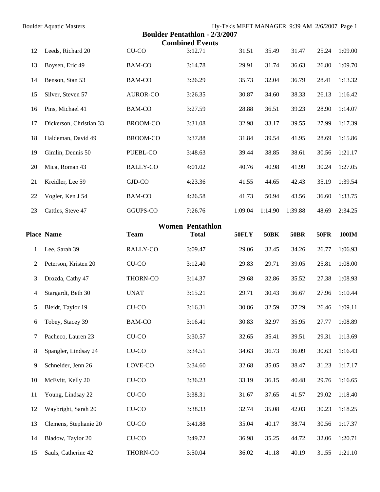| <b>Boulder Aquatic Masters</b> | Hy-Tek's MEET MANAGER 9:39 AM 2/6/2007 Page 1 |  |
|--------------------------------|-----------------------------------------------|--|
|--------------------------------|-----------------------------------------------|--|

## **Boulder Pentathlon - 2/3/2007**

| Douluel I emamion - $2/3/2007$<br><b>Combined Events</b> |                         |                 |              |         |             |             |             |              |  |
|----------------------------------------------------------|-------------------------|-----------------|--------------|---------|-------------|-------------|-------------|--------------|--|
| 12                                                       | Leeds, Richard 20       | CU-CO           | 3:12.71      | 31.51   | 35.49       | 31.47       | 25.24       | 1:09.00      |  |
| 13                                                       | Boysen, Eric 49         | <b>BAM-CO</b>   | 3:14.78      | 29.91   | 31.74       | 36.63       | 26.80       | 1:09.70      |  |
| 14                                                       | Benson, Stan 53         | <b>BAM-CO</b>   | 3:26.29      | 35.73   | 32.04       | 36.79       | 28.41       | 1:13.32      |  |
| 15                                                       | Silver, Steven 57       | <b>AUROR-CO</b> | 3:26.35      | 30.87   | 34.60       | 38.33       | 26.13       | 1:16.42      |  |
| 16                                                       | Pins, Michael 41        | <b>BAM-CO</b>   | 3:27.59      | 28.88   | 36.51       | 39.23       | 28.90       | 1:14.07      |  |
| 17                                                       | Dickerson, Christian 33 | <b>BROOM-CO</b> | 3:31.08      | 32.98   | 33.17       | 39.55       | 27.99       | 1:17.39      |  |
| 18                                                       | Haldeman, David 49      | <b>BROOM-CO</b> | 3:37.88      | 31.84   | 39.54       | 41.95       | 28.69       | 1:15.86      |  |
| 19                                                       | Gimlin, Dennis 50       | PUEBL-CO        | 3:48.63      | 39.44   | 38.85       | 38.61       | 30.56       | 1:21.17      |  |
| $20\,$                                                   | Mica, Roman 43          | RALLY-CO        | 4:01.02      | 40.76   | 40.98       | 41.99       | 30.24       | 1:27.05      |  |
| 21                                                       | Kreidler, Lee 59        | GJD-CO          | 4:23.36      | 41.55   | 44.65       | 42.43       | 35.19       | 1:39.54      |  |
| $22\,$                                                   | Vogler, Ken J 54        | <b>BAM-CO</b>   | 4:26.58      | 41.73   | 50.94       | 43.56       | 36.60       | 1:33.75      |  |
| 23                                                       | Cattles, Steve 47       | GGUPS-CO        | 7:26.76      | 1:09.04 | 1:14.90     | 1:39.88     | 48.69       | 2:34.25      |  |
| <b>Women Pentathlon</b>                                  |                         |                 |              |         |             |             |             |              |  |
|                                                          | <b>Place Name</b>       | <b>Team</b>     | <b>Total</b> | 50FLY   | <b>50BK</b> | <b>50BR</b> | <b>50FR</b> | <b>100IM</b> |  |
|                                                          |                         |                 |              |         |             |             |             |              |  |
| 1                                                        | Lee, Sarah 39           | RALLY-CO        | 3:09.47      | 29.06   | 32.45       | 34.26       | 26.77       | 1:06.93      |  |
| $\overline{2}$                                           | Peterson, Kristen 20    | $CU$ - $CO$     | 3:12.40      | 29.83   | 29.71       | 39.05       | 25.81       | 1:08.00      |  |
| 3                                                        | Drozda, Cathy 47        | THORN-CO        | 3:14.37      | 29.68   | 32.86       | 35.52       | 27.38       | 1:08.93      |  |
| 4                                                        | Stargardt, Beth 30      | <b>UNAT</b>     | 3:15.21      | 29.71   | 30.43       | 36.67       | 27.96       | 1:10.44      |  |
| 5                                                        | Bleidt, Taylor 19       | CU-CO           | 3:16.31      | 30.86   | 32.59       | 37.29       | 26.46       | 1:09.11      |  |
| 6                                                        | Tobey, Stacey 39        | <b>BAM-CO</b>   | 3:16.41      | 30.83   | 32.97       | 35.95       | 27.77       | 1:08.89      |  |
| $\overline{7}$                                           | Pacheco, Lauren 23      | $CU$ - $CO$     | 3:30.57      | 32.65   | 35.41       | 39.51       | 29.31       | 1:13.69      |  |
| $8\,$                                                    | Spangler, Lindsay 24    | $CU$ - $CO$     | 3:34.51      | 34.63   | 36.73       | 36.09       | 30.63       | 1:16.43      |  |
| 9                                                        | Schneider, Jenn 26      | LOVE-CO         | 3:34.60      | 32.68   | 35.05       | 38.47       | 31.23       | 1:17.17      |  |
| 10                                                       | McEvitt, Kelly 20       | CU-CO           | 3:36.23      | 33.19   | 36.15       | 40.48       | 29.76       | 1:16.65      |  |
| 11                                                       | Young, Lindsay 22       | $CU$ - $CO$     | 3:38.31      | 31.67   | 37.65       | 41.57       | 29.02       | 1:18.40      |  |
| 12                                                       | Waybright, Sarah 20     | $CU$ - $CO$     | 3:38.33      | 32.74   | 35.08       | 42.03       | 30.23       | 1:18.25      |  |
| 13                                                       | Clemens, Stephanie 20   | $CU$ - $CO$     | 3:41.88      | 35.04   | 40.17       | 38.74       | 30.56       | 1:17.37      |  |
| 14                                                       | Bladow, Taylor 20       | $CU$ - $CO$     | 3:49.72      | 36.98   | 35.25       | 44.72       | 32.06       | 1:20.71      |  |